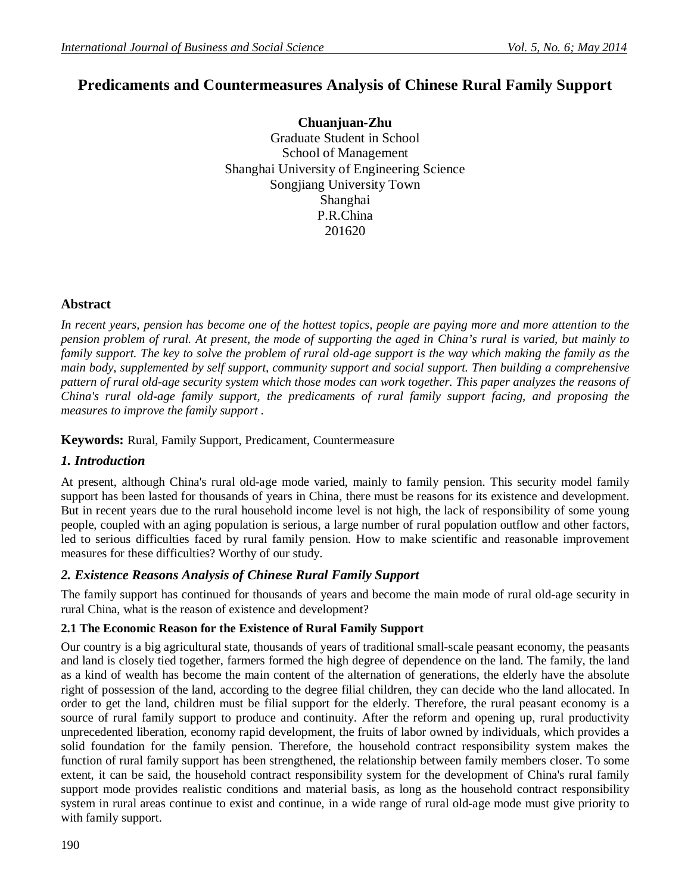# **Predicaments and Countermeasures Analysis of Chinese Rural Family Support**

**Chuanjuan-Zhu** Graduate Student in School School of Management Shanghai University of Engineering Science Songjiang University Town Shanghai P.R.China 201620

# **Abstract**

*In recent years, pension has become one of the hottest topics, people are paying more and more attention to the pension problem of rural. At present, the mode of supporting the aged in China's rural is varied, but mainly to family support. The key to solve the problem of rural old-age support is the way which making the family as the main body, supplemented by self support, community support and social support. Then building a comprehensive pattern of rural old-age security system which those modes can work together. This paper analyzes the reasons of China's rural old-age family support, the predicaments of rural family support facing, and proposing the measures to improve the family support .*

## **Keywords:** Rural, Family Support, Predicament, Countermeasure

#### *1. Introduction*

At present, although China's rural old-age mode varied, mainly to family pension. This security model family support has been lasted for thousands of years in China, there must be reasons for its existence and development. But in recent years due to the rural household income level is not high, the lack of responsibility of some young people, coupled with an aging population is serious, a large number of rural population outflow and other factors, led to serious difficulties faced by rural family pension. How to make scientific and reasonable improvement measures for these difficulties? Worthy of our study.

# *2. Existence Reasons Analysis of Chinese Rural Family Support*

The family support has continued for thousands of years and become the main mode of rural old-age security in rural China, what is the reason of existence and development?

# **2.1 The Economic Reason for the Existence of Rural Family Support**

Our country is a big agricultural state, thousands of years of traditional small-scale peasant economy, the peasants and land is closely tied together, farmers formed the high degree of dependence on the land. The family, the land as a kind of wealth has become the main content of the alternation of generations, the elderly have the absolute right of possession of the land, according to the degree filial children, they can decide who the land allocated. In order to get the land, children must be filial support for the elderly. Therefore, the rural peasant economy is a source of rural family support to produce and continuity. After the reform and opening up, rural productivity unprecedented liberation, economy rapid development, the fruits of labor owned by individuals, which provides a solid foundation for the family pension. Therefore, the household contract responsibility system makes the function of rural family support has been strengthened, the relationship between family members closer. To some extent, it can be said, the household contract responsibility system for the development of China's rural family support mode provides realistic conditions and material basis, as long as the household contract responsibility system in rural areas continue to exist and continue, in a wide range of rural old-age mode must give priority to with family support.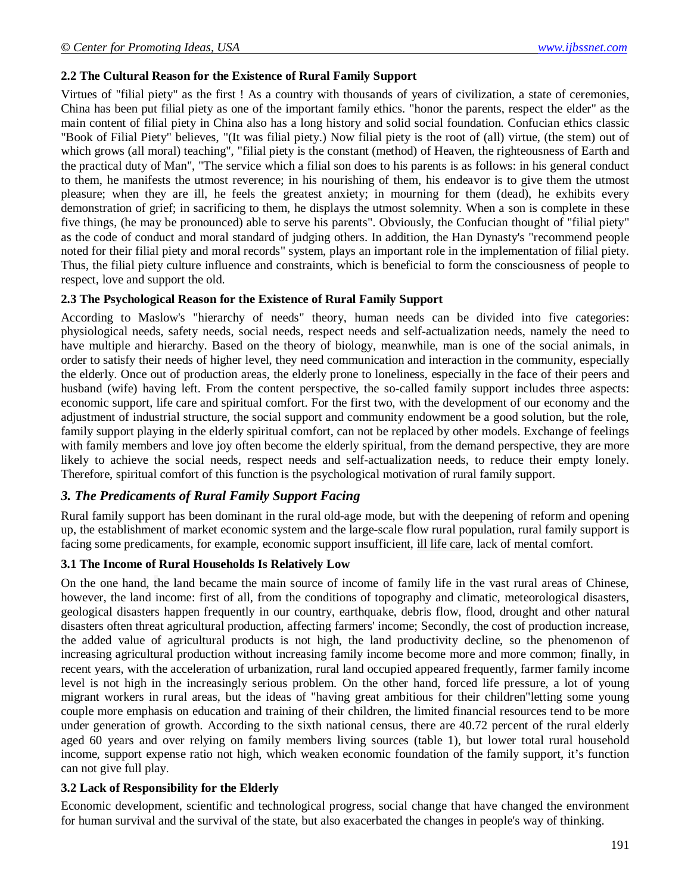#### **2.2 The Cultural Reason for the Existence of Rural Family Support**

Virtues of "filial piety" as the first ! As a country with thousands of years of civilization, a state of ceremonies, China has been put filial piety as one of the important family ethics. "honor the parents, respect the elder" as the main content of filial piety in China also has a long history and solid social foundation. Confucian ethics classic "Book of Filial Piety" believes, "(It was filial piety.) Now filial piety is the root of (all) virtue, (the stem) out of which grows (all moral) teaching", "filial piety is the constant (method) of Heaven, the righteousness of Earth and the practical duty of Man", "The service which a filial son does to his parents is as follows: in his general conduct to them, he manifests the utmost reverence; in his nourishing of them, his endeavor is to give them the utmost pleasure; when they are ill, he feels the greatest anxiety; in mourning for them (dead), he exhibits every demonstration of grief; in sacrificing to them, he displays the utmost solemnity. When a son is complete in these five things, (he may be pronounced) able to serve his parents". Obviously, the Confucian thought of "filial piety" as the code of conduct and moral standard of judging others. In addition, the Han Dynasty's "recommend people noted for their filial piety and moral records" system, plays an important role in the implementation of filial piety. Thus, the filial piety culture influence and constraints, which is beneficial to form the consciousness of people to respect, love and support the old.

#### **2.3 The Psychological Reason for the Existence of Rural Family Support**

According to Maslow's "hierarchy of needs" theory, human needs can be divided into five categories: physiological needs, safety needs, social needs, respect needs and self-actualization needs, namely the need to have multiple and hierarchy. Based on the theory of biology, meanwhile, man is one of the social animals, in order to satisfy their needs of higher level, they need communication and interaction in the community, especially the elderly. Once out of production areas, the elderly prone to loneliness, especially in the face of their peers and husband (wife) having left. From the content perspective, the so-called family support includes three aspects: economic support, life care and spiritual comfort. For the first two, with the development of our economy and the adjustment of industrial structure, the social support and community endowment be a good solution, but the role, family support playing in the elderly spiritual comfort, can not be replaced by other models. Exchange of feelings with family members and love joy often become the elderly spiritual, from the demand perspective, they are more likely to achieve the social needs, respect needs and self-actualization needs, to reduce their empty lonely. Therefore, spiritual comfort of this function is the psychological motivation of rural family support.

#### *3. The Predicaments of Rural Family Support Facing*

Rural family support has been dominant in the rural old-age mode, but with the deepening of reform and opening up, the establishment of market economic system and the large-scale flow rural population, rural family support is facing some predicaments, for example, economic support insufficient, ill life care, lack of mental comfort.

#### **3.1 The Income of Rural Households Is Relatively Low**

On the one hand, the land became the main source of income of family life in the vast rural areas of Chinese, however, the land income: first of all, from the conditions of topography and climatic, meteorological disasters, geological disasters happen frequently in our country, earthquake, debris flow, flood, drought and other natural disasters often threat agricultural production, affecting farmers' income; Secondly, the cost of production increase, the added value of agricultural products is not high, the land productivity decline, so the phenomenon of increasing agricultural production without increasing family income become more and more common; finally, in recent years, with the acceleration of urbanization, rural land occupied appeared frequently, farmer family income level is not high in the increasingly serious problem. On the other hand, forced life pressure, a lot of young migrant workers in rural areas, but the ideas of "having great ambitious for their children"letting some young couple more emphasis on education and training of their children, the limited financial resources tend to be more under generation of growth. According to the sixth national census, there are 40.72 percent of the rural elderly aged 60 years and over relying on family members living sources (table 1), but lower total rural household income, support expense ratio not high, which weaken economic foundation of the family support, it's function can not give full play.

#### **3.2 Lack of Responsibility for the Elderly**

Economic development, scientific and technological progress, social change that have changed the environment for human survival and the survival of the state, but also exacerbated the changes in people's way of thinking.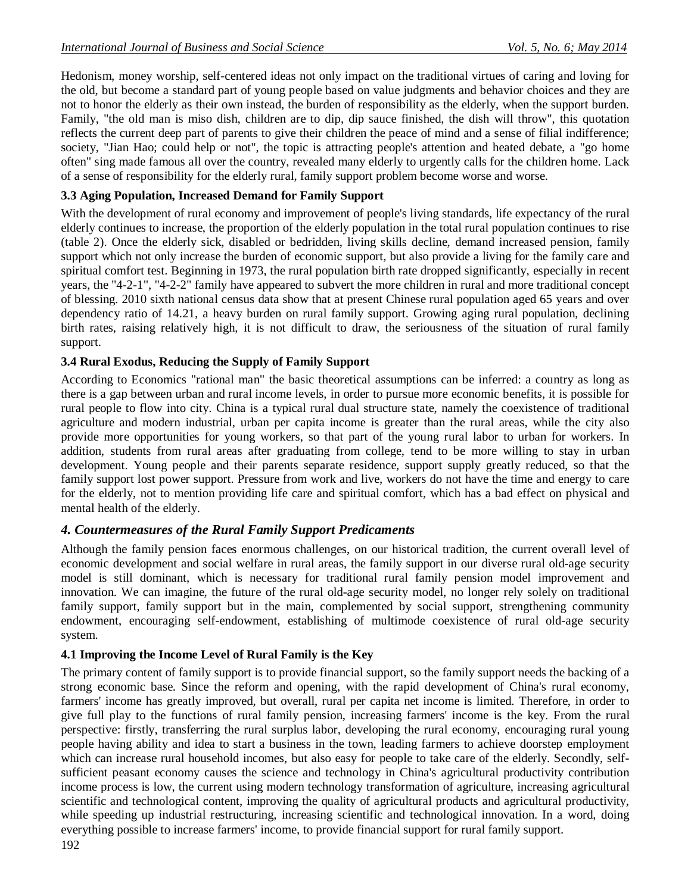Hedonism, money worship, self-centered ideas not only impact on the traditional virtues of caring and loving for the old, but become a standard part of young people based on value judgments and behavior choices and they are not to honor the elderly as their own instead, the burden of responsibility as the elderly, when the support burden. Family, "the old man is miso dish, children are to dip, dip sauce finished, the dish will throw", this quotation reflects the current deep part of parents to give their children the peace of mind and a sense of filial indifference; society, "Jian Hao; could help or not", the topic is attracting people's attention and heated debate, a "go home often" sing made famous all over the country, revealed many elderly to urgently calls for the children home. Lack of a sense of responsibility for the elderly rural, family support problem become worse and worse.

## **3.3 Aging Population, Increased Demand for Family Support**

With the development of rural economy and improvement of people's living standards, life expectancy of the rural elderly continues to increase, the proportion of the elderly population in the total rural population continues to rise (table 2). Once the elderly sick, disabled or bedridden, living skills decline, demand increased pension, family support which not only increase the burden of economic support, but also provide a living for the family care and spiritual comfort test. Beginning in 1973, the rural population birth rate dropped significantly, especially in recent years, the "4-2-1", "4-2-2" family have appeared to subvert the more children in rural and more traditional concept of blessing. 2010 sixth national census data show that at present Chinese rural population aged 65 years and over dependency ratio of 14.21, a heavy burden on rural family support. Growing aging rural population, declining birth rates, raising relatively high, it is not difficult to draw, the seriousness of the situation of rural family support.

#### **3.4 Rural Exodus, Reducing the Supply of Family Support**

According to Economics "rational man" the basic theoretical assumptions can be inferred: a country as long as there is a gap between urban and rural income levels, in order to pursue more economic benefits, it is possible for rural people to flow into city. China is a typical rural dual structure state, namely the coexistence of traditional agriculture and modern industrial, urban per capita income is greater than the rural areas, while the city also provide more opportunities for young workers, so that part of the young rural labor to urban for workers. In addition, students from rural areas after graduating from college, tend to be more willing to stay in urban development. Young people and their parents separate residence, support supply greatly reduced, so that the family support lost power support. Pressure from work and live, workers do not have the time and energy to care for the elderly, not to mention providing life care and spiritual comfort, which has a bad effect on physical and mental health of the elderly.

#### *4. Countermeasures of the Rural Family Support Predicaments*

Although the family pension faces enormous challenges, on our historical tradition, the current overall level of economic development and social welfare in rural areas, the family support in our diverse rural old-age security model is still dominant, which is necessary for traditional rural family pension model improvement and innovation. We can imagine, the future of the rural old-age security model, no longer rely solely on traditional family support, family support but in the main, complemented by social support, strengthening community endowment, encouraging self-endowment, establishing of multimode coexistence of rural old-age security system.

#### **4.1 Improving the Income Level of Rural Family is the Key**

The primary content of family support is to provide financial support, so the family support needs the backing of a strong economic base. Since the reform and opening, with the rapid development of China's rural economy, farmers' income has greatly improved, but overall, rural per capita net income is limited. Therefore, in order to give full play to the functions of rural family pension, increasing farmers' income is the key. From the rural perspective: firstly, transferring the rural surplus labor, developing the rural economy, encouraging rural young people having ability and idea to start a business in the town, leading farmers to achieve doorstep employment which can increase rural household incomes, but also easy for people to take care of the elderly. Secondly, selfsufficient peasant economy causes the science and technology in China's agricultural productivity contribution income process is low, the current using modern technology transformation of agriculture, increasing agricultural scientific and technological content, improving the quality of agricultural products and agricultural productivity, while speeding up industrial restructuring, increasing scientific and technological innovation. In a word, doing everything possible to increase farmers' income, to provide financial support for rural family support.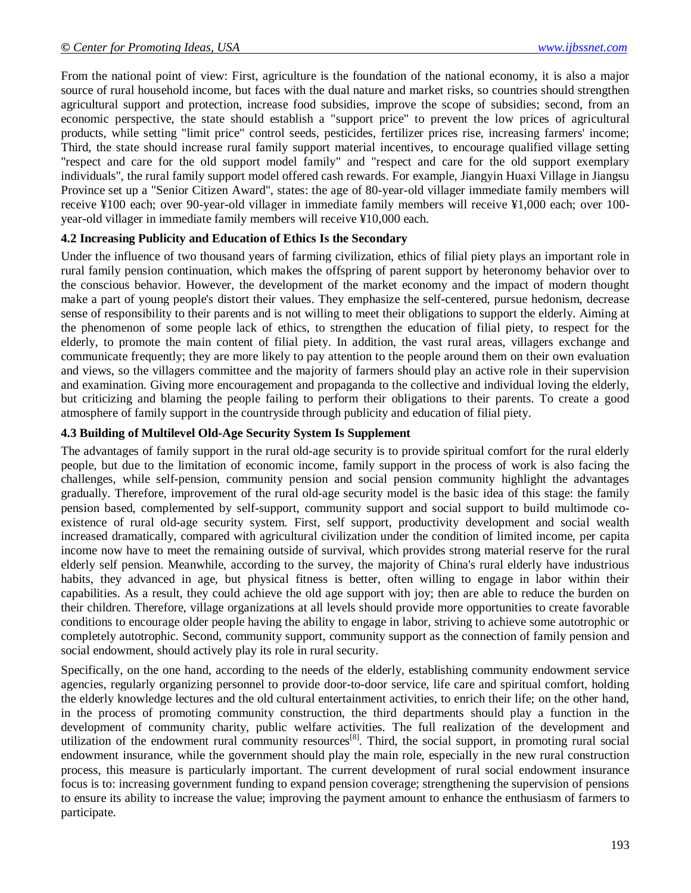From the national point of view: First, agriculture is the foundation of the national economy, it is also a major source of rural household income, but faces with the dual nature and market risks, so countries should strengthen agricultural support and protection, increase food subsidies, improve the scope of subsidies; second, from an economic perspective, the state should establish a "support price" to prevent the low prices of agricultural products, while setting "limit price" control seeds, pesticides, fertilizer prices rise, increasing farmers' income; Third, the state should increase rural family support material incentives, to encourage qualified village setting "respect and care for the old support model family" and "respect and care for the old support exemplary individuals", the rural family support model offered cash rewards. For example, Jiangyin Huaxi Village in Jiangsu Province set up a "Senior Citizen Award", states: the age of 80-year-old villager immediate family members will receive ¥100 each; over 90-year-old villager in immediate family members will receive ¥1,000 each; over 100 year-old villager in immediate family members will receive ¥10,000 each.

#### **4.2 Increasing Publicity and Education of Ethics Is the Secondary**

Under the influence of two thousand years of farming civilization, ethics of filial piety plays an important role in rural family pension continuation, which makes the offspring of parent support by heteronomy behavior over to the conscious behavior. However, the development of the market economy and the impact of modern thought make a part of young people's distort their values. They emphasize the self-centered, pursue hedonism, decrease sense of responsibility to their parents and is not willing to meet their obligations to support the elderly. Aiming at the phenomenon of some people lack of ethics, to strengthen the education of filial piety, to respect for the elderly, to promote the main content of filial piety. In addition, the vast rural areas, villagers exchange and communicate frequently; they are more likely to pay attention to the people around them on their own evaluation and views, so the villagers committee and the majority of farmers should play an active role in their supervision and examination. Giving more encouragement and propaganda to the collective and individual loving the elderly, but criticizing and blaming the people failing to perform their obligations to their parents. To create a good atmosphere of family support in the countryside through publicity and education of filial piety.

#### **4.3 Building of Multilevel Old-Age Security System Is Supplement**

The advantages of family support in the rural old-age security is to provide spiritual comfort for the rural elderly people, but due to the limitation of economic income, family support in the process of work is also facing the challenges, while self-pension, community pension and social pension community highlight the advantages gradually. Therefore, improvement of the rural old-age security model is the basic idea of this stage: the family pension based, complemented by self-support, community support and social support to build multimode coexistence of rural old-age security system. First, self support, productivity development and social wealth increased dramatically, compared with agricultural civilization under the condition of limited income, per capita income now have to meet the remaining outside of survival, which provides strong material reserve for the rural elderly self pension. Meanwhile, according to the survey, the majority of China's rural elderly have industrious habits, they advanced in age, but physical fitness is better, often willing to engage in labor within their capabilities. As a result, they could achieve the old age support with joy; then are able to reduce the burden on their children. Therefore, village organizations at all levels should provide more opportunities to create favorable conditions to encourage older people having the ability to engage in labor, striving to achieve some autotrophic or completely autotrophic. Second, community support, community support as the connection of family pension and social endowment, should actively play its role in rural security.

Specifically, on the one hand, according to the needs of the elderly, establishing community endowment service agencies, regularly organizing personnel to provide door-to-door service, life care and spiritual comfort, holding the elderly knowledge lectures and the old cultural entertainment activities, to enrich their life; on the other hand, in the process of promoting community construction, the third departments should play a function in the development of community charity, public welfare activities. The full realization of the development and utilization of the endowment rural community resources<sup>[8]</sup>. Third, the social support, in promoting rural social endowment insurance, while the government should play the main role, especially in the new rural construction process, this measure is particularly important. The current development of rural social endowment insurance focus is to: increasing government funding to expand pension coverage; strengthening the supervision of pensions to ensure its ability to increase the value; improving the payment amount to enhance the enthusiasm of farmers to participate.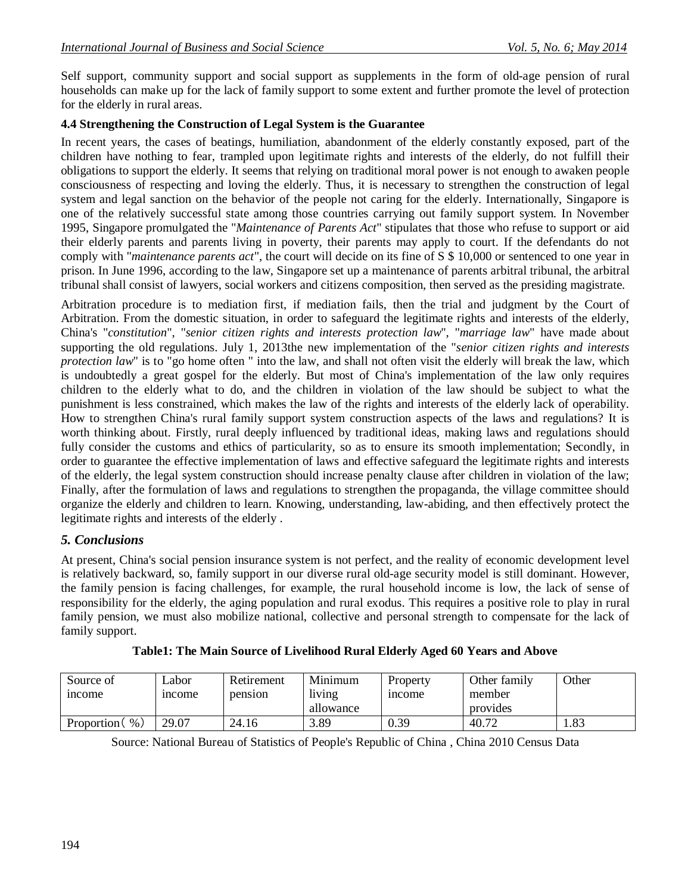Self support, community support and social support as supplements in the form of old-age pension of rural households can make up for the lack of family support to some extent and further promote the level of protection for the elderly in rural areas.

#### **4.4 Strengthening the Construction of Legal System is the Guarantee**

In recent years, the cases of beatings, humiliation, abandonment of the elderly constantly exposed, part of the children have nothing to fear, trampled upon legitimate rights and interests of the elderly, do not fulfill their obligations to support the elderly. It seems that relying on traditional moral power is not enough to awaken people consciousness of respecting and loving the elderly. Thus, it is necessary to strengthen the construction of legal system and legal sanction on the behavior of the people not caring for the elderly. Internationally, Singapore is one of the relatively successful state among those countries carrying out family support system. In November 1995, Singapore promulgated the "*Maintenance of Parents Act*" stipulates that those who refuse to support or aid their elderly parents and parents living in poverty, their parents may apply to court. If the defendants do not comply with "*maintenance parents act*", the court will decide on its fine of S \$ 10,000 or sentenced to one year in prison. In June 1996, according to the law, Singapore set up a maintenance of parents arbitral tribunal, the arbitral tribunal shall consist of lawyers, social workers and citizens composition, then served as the presiding magistrate.

Arbitration procedure is to mediation first, if mediation fails, then the trial and judgment by the Court of Arbitration. From the domestic situation, in order to safeguard the legitimate rights and interests of the elderly, China's "*constitution*", "*senior citizen rights and interests protection law*", "*marriage law*" have made about supporting the old regulations. July 1, 2013the new implementation of the "*senior citizen rights and interests protection law*" is to "go home often " into the law, and shall not often visit the elderly will break the law, which is undoubtedly a great gospel for the elderly. But most of China's implementation of the law only requires children to the elderly what to do, and the children in violation of the law should be subject to what the punishment is less constrained, which makes the law of the rights and interests of the elderly lack of operability. How to strengthen China's rural family support system construction aspects of the laws and regulations? It is worth thinking about. Firstly, rural deeply influenced by traditional ideas, making laws and regulations should fully consider the customs and ethics of particularity, so as to ensure its smooth implementation; Secondly, in order to guarantee the effective implementation of laws and effective safeguard the legitimate rights and interests of the elderly, the legal system construction should increase penalty clause after children in violation of the law; Finally, after the formulation of laws and regulations to strengthen the propaganda, the village committee should organize the elderly and children to learn. Knowing, understanding, law-abiding, and then effectively protect the legitimate rights and interests of the elderly .

#### *5. Conclusions*

At present, China's social pension insurance system is not perfect, and the reality of economic development level is relatively backward, so, family support in our diverse rural old-age security model is still dominant. However, the family pension is facing challenges, for example, the rural household income is low, the lack of sense of responsibility for the elderly, the aging population and rural exodus. This requires a positive role to play in rural family pension, we must also mobilize national, collective and personal strength to compensate for the lack of family support.

| Source of       | ∟abor         | Retirement | Minimum   | Property | Other family | Other |
|-----------------|---------------|------------|-----------|----------|--------------|-------|
| <i>n</i> come   | <i>n</i> come | pension    | living    | 1ncome   | member       |       |
|                 |               |            | allowance |          | provides     |       |
| %<br>Proportion | 29.07         | 24.16      | 3.89      | 0.39     | 40.72        | 1.83  |

| Table1: The Main Source of Livelihood Rural Elderly Aged 60 Years and Above |  |  |  |
|-----------------------------------------------------------------------------|--|--|--|
|-----------------------------------------------------------------------------|--|--|--|

Source: National Bureau of Statistics of People's Republic of China , China 2010 Census Data